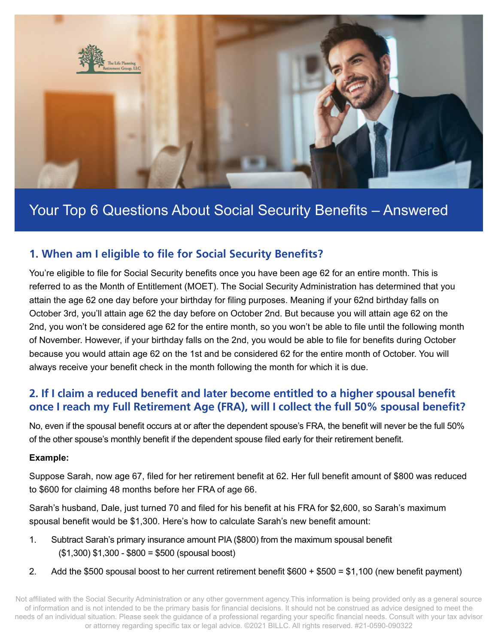

# Your Top 6 Questions About Social Security Benefits – Answered

## **1. When am I eligible to file for Social Security Benefits?**

You're eligible to file for Social Security benefits once you have been age 62 for an entire month. This is referred to as the Month of Entitlement (MOET). The Social Security Administration has determined that you attain the age 62 one day before your birthday for filing purposes. Meaning if your 62nd birthday falls on October 3rd, you'll attain age 62 the day before on October 2nd. But because you will attain age 62 on the 2nd, you won't be considered age 62 for the entire month, so you won't be able to file until the following month of November. However, if your birthday falls on the 2nd, you would be able to file for benefits during October because you would attain age 62 on the 1st and be considered 62 for the entire month of October. You will always receive your benefit check in the month following the month for which it is due.

### **2. If I claim a reduced benefit and later become entitled to a higher spousal benefit once I reach my Full Retirement Age (FRA), will I collect the full 50% spousal benefit?**

No, even if the spousal benefit occurs at or after the dependent spouse's FRA, the benefit will never be the full 50% of the other spouse's monthly benefit if the dependent spouse filed early for their retirement benefit.

#### **Example:**

Suppose Sarah, now age 67, filed for her retirement benefit at 62. Her full benefit amount of \$800 was reduced to \$600 for claiming 48 months before her FRA of age 66.

Sarah's husband, Dale, just turned 70 and filed for his benefit at his FRA for \$2,600, so Sarah's maximum spousal benefit would be \$1,300. Here's how to calculate Sarah's new benefit amount:

- 1. Subtract Sarah's primary insurance amount PIA (\$800) from the maximum spousal benefit (\$1,300) \$1,300 - \$800 = \$500 (spousal boost)
- 2. Add the \$500 spousal boost to her current retirement benefit \$600 + \$500 = \$1,100 (new benefit payment)

Not affiliated with the Social Security Administration or any other government agency.This information is being provided only as a general source of information and is not intended to be the primary basis for financial decisions. It should not be construed as advice designed to meet the needs of an individual situation. Please seek the guidance of a professional regarding your specific financial needs. Consult with your tax advisor or attorney regarding specific tax or legal advice. ©2021 BILLC. All rights reserved. #21-0590-090322